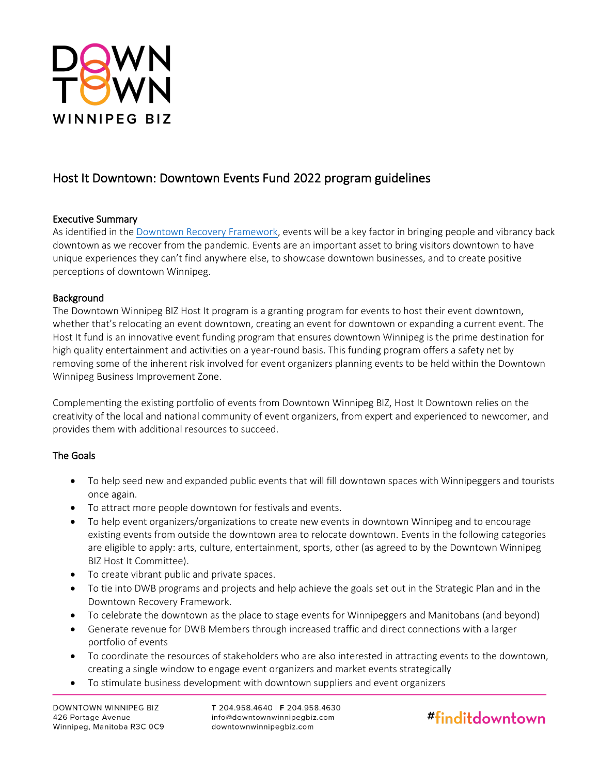

# Host It Downtown: Downtown Events Fund 2022 program guidelines

# Executive Summary

As identified in the [Downtown Recovery Framework,](https://downtownwinnipegbiz.com/wp-content/uploads/2021/10/DRS-Framework-Final-October-2021.pdf) events will be a key factor in bringing people and vibrancy back downtown as we recover from the pandemic. Events are an important asset to bring visitors downtown to have unique experiences they can't find anywhere else, to showcase downtown businesses, and to create positive perceptions of downtown Winnipeg.

## Background

The Downtown Winnipeg BIZ Host It program is a granting program for events to host their event downtown, whether that's relocating an event downtown, creating an event for downtown or expanding a current event. The Host It fund is an innovative event funding program that ensures downtown Winnipeg is the prime destination for high quality entertainment and activities on a year-round basis. This funding program offers a safety net by removing some of the inherent risk involved for event organizers planning events to be held within the Downtown Winnipeg Business Improvement Zone.

Complementing the existing portfolio of events from Downtown Winnipeg BIZ, Host It Downtown relies on the creativity of the local and national community of event organizers, from expert and experienced to newcomer, and provides them with additional resources to succeed.

# The Goals

- To help seed new and expanded public events that will fill downtown spaces with Winnipeggers and tourists once again.
- To attract more people downtown for festivals and events.
- To help event organizers/organizations to create new events in downtown Winnipeg and to encourage existing events from outside the downtown area to relocate downtown. Events in the following categories are eligible to apply: arts, culture, entertainment, sports, other (as agreed to by the Downtown Winnipeg BIZ Host It Committee).
- To create vibrant public and private spaces.
- To tie into DWB programs and projects and help achieve the goals set out in the Strategic Plan and in the Downtown Recovery Framework.
- To celebrate the downtown as the place to stage events for Winnipeggers and Manitobans (and beyond)
- Generate revenue for DWB Members through increased traffic and direct connections with a larger portfolio of events
- To coordinate the resources of stakeholders who are also interested in attracting events to the downtown, creating a single window to engage event organizers and market events strategically
- To stimulate business development with downtown suppliers and event organizers

T 204.958.4640 | F 204.958.4630 info@downtownwinnipegbiz.com downtownwinnipegbiz.com

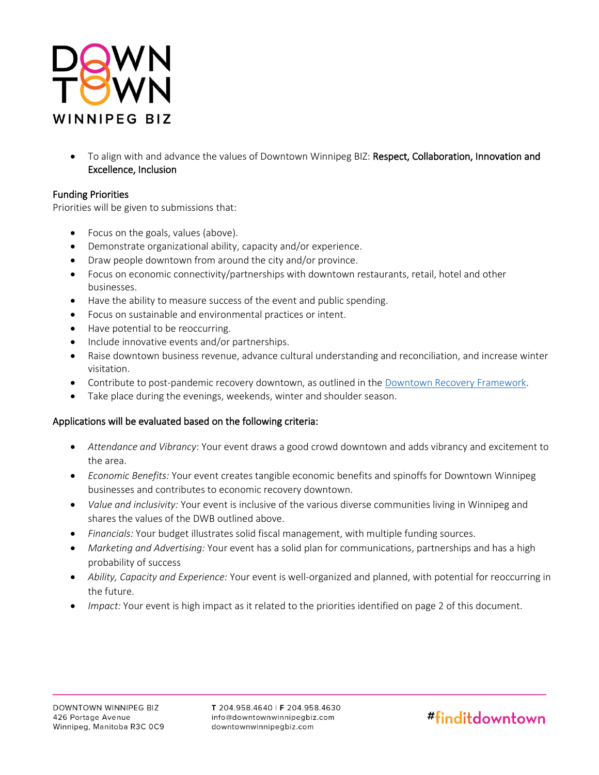

• To align with and advance the values of Downtown Winnipeg BIZ: Respect, Collaboration, Innovation and Excellence, Inclusion

#### Funding Priorities

Priorities will be given to submissions that:

- Focus on the goals, values (above).
- Demonstrate organizational ability, capacity and/or experience.
- Draw people downtown from around the city and/or province.
- Focus on economic connectivity/partnerships with downtown restaurants, retail, hotel and other businesses.
- Have the ability to measure success of the event and public spending.
- Focus on sustainable and environmental practices or intent.
- Have potential to be reoccurring.
- Include innovative events and/or partnerships.
- Raise downtown business revenue, advance cultural understanding and reconciliation, and increase winter visitation.
- Contribute to post-pandemic recovery downtown, as outlined in th[e Downtown Recovery Framework.](https://downtownwinnipegbiz.com/wp-content/uploads/2021/10/DRS-Framework-Final-October-2021.pdf)
- Take place during the evenings, weekends, winter and shoulder season.

#### Applications will be evaluated based on the following criteria:

- *Attendance and Vibrancy*: Your event draws a good crowd downtown and adds vibrancy and excitement to the area.
- *Economic Benefits:* Your event creates tangible economic benefits and spinoffs for Downtown Winnipeg businesses and contributes to economic recovery downtown.
- *Value and inclusivity:* Your event is inclusive of the various diverse communities living in Winnipeg and shares the values of the DWB outlined above.
- *Financials:* Your budget illustrates solid fiscal management, with multiple funding sources.
- *Marketing and Advertising:* Your event has a solid plan for communications, partnerships and has a high probability of success
- *Ability, Capacity and Experience:* Your event is well-organized and planned, with potential for reoccurring in the future.
- *Impact:* Your event is high impact as it related to the priorities identified on page 2 of this document.

# #finditdowntown